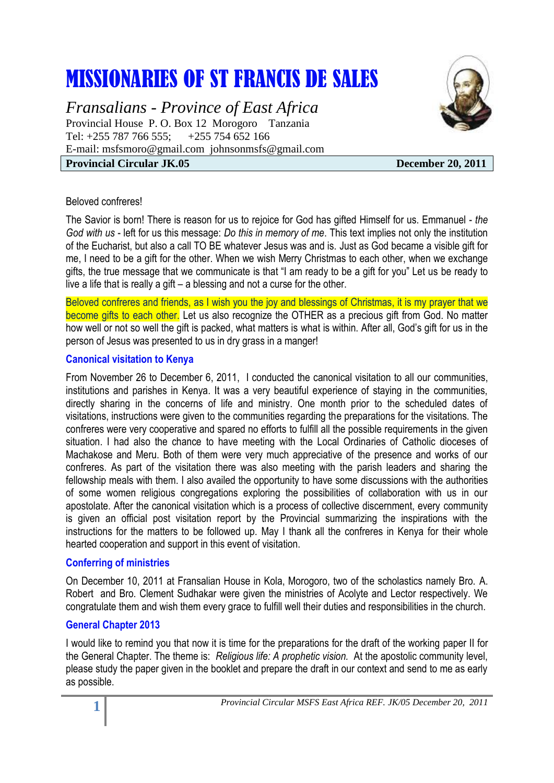# MISSIONARIES OF ST FRANCIS DE SALES

*Fransalians - Province of East Africa* Provincial House P. O. Box 12 Morogoro Tanzania Tel: +255 787 766 555; +255 754 652 166 E-mail: [msfsmoro@gmail.com](mailto:msfsmoro@gmail.com) johnsonmsfs@gmail.com **Provincial Circular JK.05** December 20, 2011



#### Beloved confreres!

The Savior is born! There is reason for us to rejoice for God has gifted Himself for us. Emmanuel - *the God with us* - left for us this message: *Do this in memory of me*. This text implies not only the institution of the Eucharist, but also a call TO BE whatever Jesus was and is. Just as God became a visible gift for me, I need to be a gift for the other. When we wish Merry Christmas to each other, when we exchange gifts, the true message that we communicate is that "I am ready to be a gift for you" Let us be ready to live a life that is really a gift – a blessing and not a curse for the other.

Beloved confreres and friends, as I wish you the joy and blessings of Christmas, it is my prayer that we become gifts to each other. Let us also recognize the OTHER as a precious gift from God. No matter how well or not so well the gift is packed, what matters is what is within. After all, God's gift for us in the person of Jesus was presented to us in dry grass in a manger!

#### **Canonical visitation to Kenya**

From November 26 to December 6, 2011, I conducted the canonical visitation to all our communities, institutions and parishes in Kenya. It was a very beautiful experience of staying in the communities, directly sharing in the concerns of life and ministry. One month prior to the scheduled dates of visitations, instructions were given to the communities regarding the preparations for the visitations. The confreres were very cooperative and spared no efforts to fulfill all the possible requirements in the given situation. I had also the chance to have meeting with the Local Ordinaries of Catholic dioceses of Machakose and Meru. Both of them were very much appreciative of the presence and works of our confreres. As part of the visitation there was also meeting with the parish leaders and sharing the fellowship meals with them. I also availed the opportunity to have some discussions with the authorities of some women religious congregations exploring the possibilities of collaboration with us in our apostolate. After the canonical visitation which is a process of collective discernment, every community is given an official post visitation report by the Provincial summarizing the inspirations with the instructions for the matters to be followed up. May I thank all the confreres in Kenya for their whole hearted cooperation and support in this event of visitation.

# **Conferring of ministries**

On December 10, 2011 at Fransalian House in Kola, Morogoro, two of the scholastics namely Bro. A. Robert and Bro. Clement Sudhakar were given the ministries of Acolyte and Lector respectively. We congratulate them and wish them every grace to fulfill well their duties and responsibilities in the church.

# **General Chapter 2013**

I would like to remind you that now it is time for the preparations for the draft of the working paper II for the General Chapter. The theme is: *Religious life: A prophetic vision.* At the apostolic community level, please study the paper given in the booklet and prepare the draft in our context and send to me as early as possible.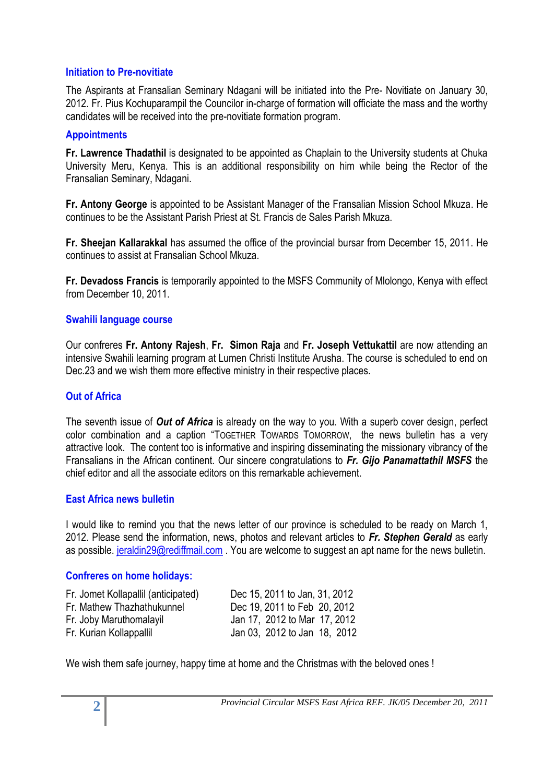# **Initiation to Pre-novitiate**

The Aspirants at Fransalian Seminary Ndagani will be initiated into the Pre- Novitiate on January 30, 2012. Fr. Pius Kochuparampil the Councilor in-charge of formation will officiate the mass and the worthy candidates will be received into the pre-novitiate formation program.

# **Appointments**

**Fr. Lawrence Thadathil** is designated to be appointed as Chaplain to the University students at Chuka University Meru, Kenya. This is an additional responsibility on him while being the Rector of the Fransalian Seminary, Ndagani.

**Fr. Antony George** is appointed to be Assistant Manager of the Fransalian Mission School Mkuza. He continues to be the Assistant Parish Priest at St. Francis de Sales Parish Mkuza.

**Fr. Sheejan Kallarakkal** has assumed the office of the provincial bursar from December 15, 2011. He continues to assist at Fransalian School Mkuza.

**Fr. Devadoss Francis** is temporarily appointed to the MSFS Community of Mlolongo, Kenya with effect from December 10, 2011.

# **Swahili language course**

Our confreres **Fr. Antony Rajesh**, **Fr. Simon Raja** and **Fr. Joseph Vettukattil** are now attending an intensive Swahili learning program at Lumen Christi Institute Arusha. The course is scheduled to end on Dec.23 and we wish them more effective ministry in their respective places.

# **Out of Africa**

The seventh issue of *Out of Africa* is already on the way to you. With a superb cover design, perfect color combination and a caption "TOGETHER TOWARDS TOMORROW, the news bulletin has a very attractive look. The content too is informative and inspiring disseminating the missionary vibrancy of the Fransalians in the African continent. Our sincere congratulations to *Fr. Gijo Panamattathil MSFS* the chief editor and all the associate editors on this remarkable achievement.

#### **East Africa news bulletin**

I would like to remind you that the news letter of our province is scheduled to be ready on March 1, 2012. Please send the information, news, photos and relevant articles to *Fr. Stephen Gerald* as early as possible. [jeraldin29@rediffmail.com](mailto:jeraldin29@rediffmail.com). You are welcome to suggest an apt name for the news bulletin.

#### **Confreres on home holidays:**

| Dec 15, 2011 to Jan, 31, 2012 |
|-------------------------------|
| Dec 19, 2011 to Feb 20, 2012  |
| Jan 17, 2012 to Mar 17, 2012  |
| Jan 03, 2012 to Jan 18, 2012  |
|                               |

We wish them safe journey, happy time at home and the Christmas with the beloved ones !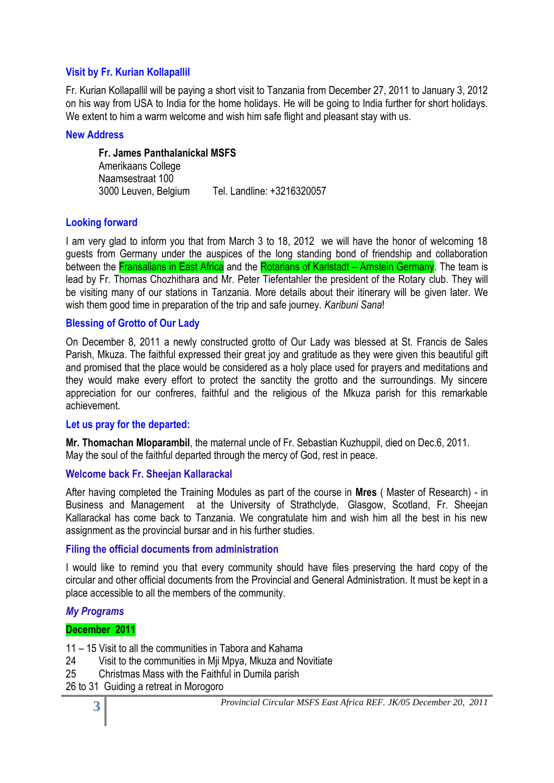# **Visit by Fr. Kurian Kollapallil**

Fr. Kurian Kollapallil will be paying a short visit to Tanzania from December 27, 2011 to January 3, 2012 on his way from USA to India for the home holidays. He will be going to India further for short holidays. We extent to him a warm welcome and wish him safe flight and pleasant stay with us.

#### **New Address**

**Fr. James Panthalanickal MSFS** Amerikaans College Naamsestraat 100 3000 Leuven, Belgium Tel. Landline: +3216320057

# **Looking forward**

I am very glad to inform you that from March 3 to 18, 2012 we will have the honor of welcoming 18 guests from Germany under the auspices of the long standing bond of friendship and collaboration between the Fransalians in East Africa and the Rotarians of Karlstadt – Arnstein Germany. The team is lead by Fr. Thomas Chozhithara and Mr. Peter Tiefentahler the president of the Rotary club. They will be visiting many of our stations in Tanzania. More details about their itinerary will be given later. We wish them good time in preparation of the trip and safe journey. *Karibuni Sana*!

# **Blessing of Grotto of Our Lady**

On December 8, 2011 a newly constructed grotto of Our Lady was blessed at St. Francis de Sales Parish, Mkuza. The faithful expressed their great joy and gratitude as they were given this beautiful gift and promised that the place would be considered as a holy place used for prayers and meditations and they would make every effort to protect the sanctity the grotto and the surroundings. My sincere appreciation for our confreres, faithful and the religious of the Mkuza parish for this remarkable achievement.

#### **Let us pray for the departed:**

**Mr. Thomachan Mloparambil**, the maternal uncle of Fr. Sebastian Kuzhuppil, died on Dec.6, 2011. May the soul of the faithful departed through the mercy of God, rest in peace.

# **Welcome back Fr. Sheejan Kallarackal**

After having completed the Training Modules as part of the course in **Mres** ( Master of Research) - in Business and Management at the University of Strathclyde, Glasgow, Scotland, Fr. Sheejan Kallarackal has come back to Tanzania. We congratulate him and wish him all the best in his new assignment as the provincial bursar and in his further studies.

#### **Filing the official documents from administration**

I would like to remind you that every community should have files preserving the hard copy of the circular and other official documents from the Provincial and General Administration. It must be kept in a place accessible to all the members of the community.

# *My Programs*

# **December 2011**

11 – 15 Visit to all the communities in Tabora and Kahama

- 24 Visit to the communities in Mji Mpya, Mkuza and Novitiate
- 25 Christmas Mass with the Faithful in Dumila parish
- 26 to 31 Guiding a retreat in Morogoro